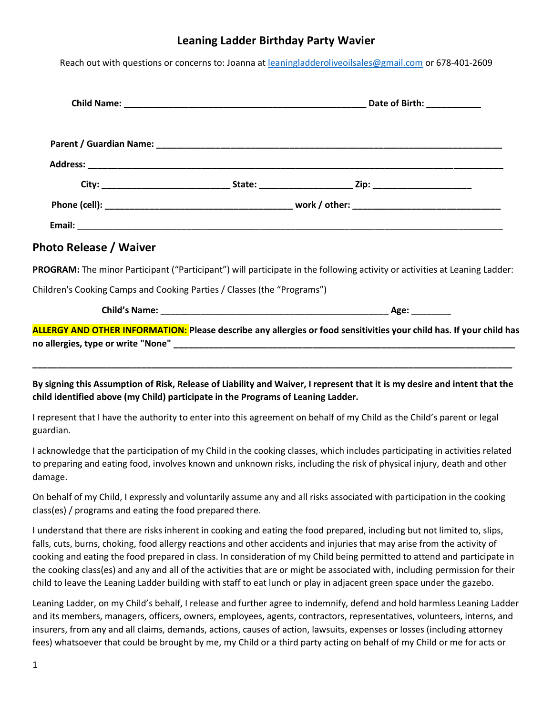## **Leaning Ladder Birthday Party Wavier**

Reach out with questions or concerns to: Joanna at [leaningladderoliveoilsales@gmail.com](mailto:leaningladderoliveoilsales@gmail.com) or 678-401-2609

| <b>Photo Release / Waiver</b> |                                                                                  |                                                                                                                            |
|-------------------------------|----------------------------------------------------------------------------------|----------------------------------------------------------------------------------------------------------------------------|
|                               |                                                                                  | PROGRAM: The minor Participant ("Participant") will participate in the following activity or activities at Leaning Ladder: |
|                               | Children's Cooking Camps and Cooking Parties / Classes (the "Programs")          |                                                                                                                            |
|                               |                                                                                  |                                                                                                                            |
|                               |                                                                                  | ALLERGY AND OTHER INFORMATION: Please describe any allergies or food sensitivities your child has. If your child has       |
|                               | child identified above (my Child) participate in the Programs of Leaning Ladder. | By signing this Assumption of Risk, Release of Liability and Waiver, I represent that it is my desire and intent that the  |

I represent that I have the authority to enter into this agreement on behalf of my Child as the Child's parent or legal guardian.

I acknowledge that the participation of my Child in the cooking classes, which includes participating in activities related to preparing and eating food, involves known and unknown risks, including the risk of physical injury, death and other damage.

On behalf of my Child, I expressly and voluntarily assume any and all risks associated with participation in the cooking class(es) / programs and eating the food prepared there.

I understand that there are risks inherent in cooking and eating the food prepared, including but not limited to, slips, falls, cuts, burns, choking, food allergy reactions and other accidents and injuries that may arise from the activity of cooking and eating the food prepared in class. In consideration of my Child being permitted to attend and participate in the cooking class(es) and any and all of the activities that are or might be associated with, including permission for their child to leave the Leaning Ladder building with staff to eat lunch or play in adjacent green space under the gazebo.

Leaning Ladder, on my Child's behalf, I release and further agree to indemnify, defend and hold harmless Leaning Ladder and its members, managers, officers, owners, employees, agents, contractors, representatives, volunteers, interns, and insurers, from any and all claims, demands, actions, causes of action, lawsuits, expenses or losses (including attorney fees) whatsoever that could be brought by me, my Child or a third party acting on behalf of my Child or me for acts or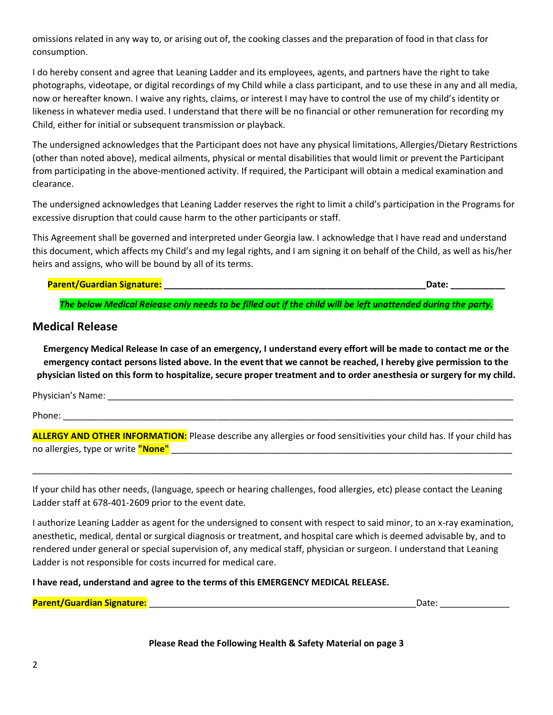omissions related in any way to, or arising out of, the cooking classes and the preparation of food in that class for consumption.

I do hereby consent and agree that Leaning Ladder and its employees, agents, and partners have the right to take photographs, videotape, or digital recordings of my Child while a class participant, and to use these in any and all media, now or hereafter known. I waive any rights, claims, or interest I may have to control the use of my child's identity or likeness in whatever media used. I understand that there will be no financial or other remuneration for recording my Child, either for initial or subsequent transmission or playback.

The undersigned acknowledges that the Participant does not have any physical limitations, Allergies/Dietary Restrictions (other than noted above), medical ailments, physical or mental disabilities that would limit or prevent the Participant from participating in the above-mentioned activity. If required, the Participant will obtain a medical examination and clearance.

The undersigned acknowledges that Leaning Ladder reserves the right to limit a child's participation in the Programs for excessive disruption that could cause harm to the other participants or staff.

This Agreement shall be governed and interpreted under Georgia law. I acknowledge that I have read and understand this document, which affects my Child's and my legal rights, and I am signing it on behalf of the Child, as well as his/her heirs and assigns, who will be bound by all of its terms.

## **Parent/Guardian Signature: \_\_\_\_\_\_\_\_\_\_\_\_\_\_\_\_\_\_\_\_\_\_\_\_\_\_\_\_\_\_\_\_\_\_\_\_\_\_\_\_\_\_\_\_\_\_\_\_\_\_\_\_\_Date: \_\_\_\_\_\_\_\_\_\_\_**

*The below Medical Release only needs to be filled out if the child will be left unattended during the party.*

## **Medical Release**

**Emergency Medical Release In case of an emergency, I understand every effort will be made to contact me or the emergency contact persons listed above. In the event that we cannot be reached, I hereby give permission to the physician listed on this form to hospitalize, secure proper treatment and to order anesthesia or surgery for my child.**

Physician's Name: \_\_\_\_\_\_\_\_\_\_\_\_\_\_\_\_\_\_\_\_\_\_\_\_\_\_\_\_\_\_\_\_\_\_\_\_\_\_\_\_\_\_\_\_\_\_\_\_\_\_\_\_\_\_\_\_\_\_\_\_\_\_\_\_\_\_\_\_\_\_\_\_\_\_\_\_\_\_\_\_\_\_

Phone: \_\_\_\_\_\_\_\_\_\_\_\_\_\_\_\_\_\_\_\_\_\_\_\_\_\_\_\_\_\_\_\_\_\_\_\_\_\_\_\_\_\_\_\_\_\_\_\_\_\_\_\_\_\_\_\_\_\_\_\_\_\_\_\_\_\_\_\_\_\_\_\_\_\_\_\_\_\_\_\_\_\_\_\_\_\_\_\_\_\_\_

**ALLERGY AND OTHER INFORMATION:** Please describe any allergies or food sensitivities your child has. If your child has no allergies, type or write **"None"** \_\_\_\_\_\_\_\_\_\_\_\_\_\_\_\_\_\_\_\_\_\_\_\_\_\_\_\_\_\_\_\_\_\_\_\_\_\_\_\_\_\_\_\_\_\_\_\_\_\_\_\_\_\_\_\_\_\_\_\_\_\_\_\_\_\_\_\_\_

\_\_\_\_\_\_\_\_\_\_\_\_\_\_\_\_\_\_\_\_\_\_\_\_\_\_\_\_\_\_\_\_\_\_\_\_\_\_\_\_\_\_\_\_\_\_\_\_\_\_\_\_\_\_\_\_\_\_\_\_\_\_\_\_\_\_\_\_\_\_\_\_\_\_\_\_\_\_\_\_\_\_\_\_\_\_\_\_\_\_\_\_\_\_\_\_\_

If your child has other needs, (language, speech or hearing challenges, food allergies, etc) please contact the Leaning Ladder staff at 678-401-2609 prior to the event date.

I authorize Leaning Ladder as agent for the undersigned to consent with respect to said minor, to an x-ray examination, anesthetic, medical, dental or surgical diagnosis or treatment, and hospital care which is deemed advisable by, and to rendered under general or special supervision of, any medical staff, physician or surgeon. I understand that Leaning Ladder is not responsible for costs incurred for medical care.

**I have read, understand and agree to the terms of this EMERGENCY MEDICAL RELEASE.**

## **Parent/Guardian Signature:** \_\_\_\_\_\_\_\_\_\_\_\_\_\_\_\_\_\_\_\_\_\_\_\_\_\_\_\_\_\_\_\_\_\_\_\_\_\_\_\_\_\_\_\_\_\_\_\_\_\_\_\_\_\_Date: \_\_\_\_\_\_\_\_\_\_\_\_\_\_

**Please Read the Following Health & Safety Material on page 3**